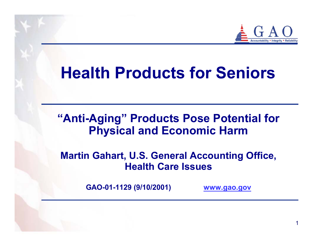

# **Health Products for Seniors**

#### **"Anti-Aging" Products Pose Potential for Physical and Economic Harm**

#### **Martin Gahart, U.S. General Accounting Office, Health Care Issues**

**G AO-01-1129 (9/10/2001)** 

**www.g [ao.gov](http://www.gao.gov/)**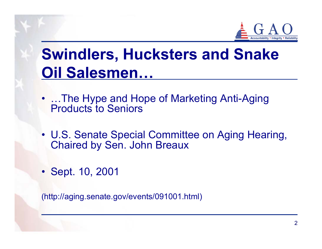

# **Swindlers, Hucksters and Snake Oil Salesmen…**

- …The Hype and Hope of Marketing Anti-Aging Products to Seniors
- U.S. Senate Special Committee on Aging Hearing, Chaired by Sen. John Breaux
- Sept. 10, 2001

(http://aging.senate.gov/ev ents/091001.html)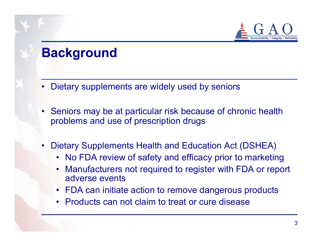

## **Background**

- Dietary supplements are widely used by seniors
- Seniors may be at particular risk because of chronic health problems and use of prescription drugs
- • Dietary Supplements Health and Education Act (DSHEA)
	- No FDA review of safety and efficacy prior to marketing
	- • Manufacturers not required to register with FDA or report adverse events
	- FDA can initiate action to remove dangerous products
	- Products can not claim to treat or cure disease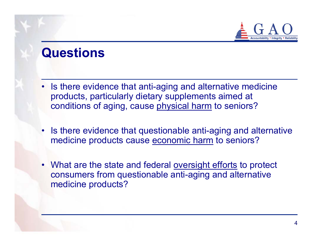

### **Questions**

- Is there evidence that anti-aging and alternative medicine products, particularly dietary supplements aimed at conditions of aging, cause physical harm to seniors?
- Is there evidence that questionable anti-aging and alternative medicine products cause economic harm to seniors?
- What are the state and federal <u>oversight efforts</u> to protect consumers from questionable anti-aging and alternative medicine products?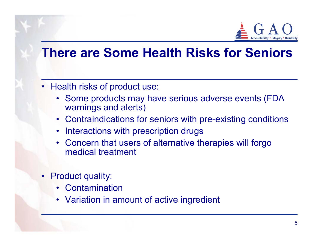

### **There are Some Health Risks for Seniors**

- Health risks of product use:
	- Some products may have serious adverse events (FDA warnings and alerts)
	- Contraindications for seniors with pre-existing conditions
	- •Interactions with prescription drugs
	- Concern that users of alternative therapies will forgo medical treatment
- Product quality:
	- •Contamination
	- Variation in amount of active ingredient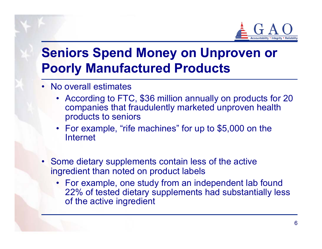

## **Seniors Spend Money on Unproven or Poorly Manufactured Products**

- No overall estimates
	- According to FTC, \$36 million annually on products for 20 companies that fraudulently marketed unproven health products to seniors
	- For example, "rife machines" for up to \$5,000 on the Internet
- Some dietary supplements contain less of the active ingredient than noted on product labels
	- For example, one study from an independent lab found 22% of tested dietary supplements had substantially less of the active ingredient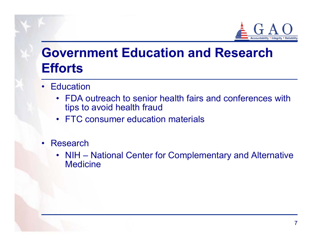

# **Government Education and Research Efforts**

- Education
	- FDA outreach to senior health fairs and conferences with tips to avoid health fraud
	- FTC consumer education materials
- • Research
	- NIH National Center for Complementary and Alternative **Medicine**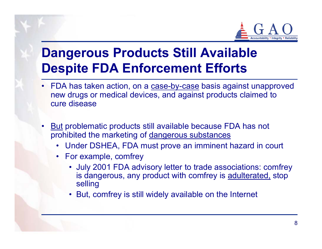

# **Dangerous Products Still Available Despite FDA Enforcement Efforts**

- FDA has taken action, on a case-by-case basis against unapproved new drugs or medic al devices, and against products claimed to cure disease
- <u>But</u> problematic products still available because FDA has not prohibited the marketing of dangerous substances
	- •Under DSHEA, FDA must prove an imminent hazard in court
	- For example, comfrey
		- July 2001 FDA advis ory letter to trade associations: comfrey is dangerous, any product with comfrey is adulterated, stop selling
		- But, comfrey is still widely available on the Internet